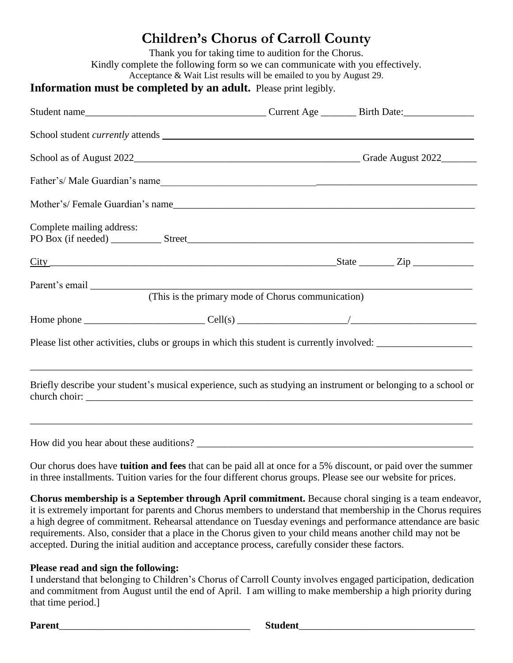## **Children's Chorus of Carroll County**

|                                                                                                                                         | Thank you for taking time to audition for the Chorus.<br>Kindly complete the following form so we can communicate with you effectively. |  |  |  |
|-----------------------------------------------------------------------------------------------------------------------------------------|-----------------------------------------------------------------------------------------------------------------------------------------|--|--|--|
| Acceptance & Wait List results will be emailed to you by August 29.<br>Information must be completed by an adult. Please print legibly. |                                                                                                                                         |  |  |  |
|                                                                                                                                         |                                                                                                                                         |  |  |  |
|                                                                                                                                         |                                                                                                                                         |  |  |  |
|                                                                                                                                         |                                                                                                                                         |  |  |  |
|                                                                                                                                         |                                                                                                                                         |  |  |  |
|                                                                                                                                         |                                                                                                                                         |  |  |  |
| Complete mailing address:                                                                                                               |                                                                                                                                         |  |  |  |
| $City$ State $Zip$                                                                                                                      |                                                                                                                                         |  |  |  |
|                                                                                                                                         |                                                                                                                                         |  |  |  |
|                                                                                                                                         |                                                                                                                                         |  |  |  |
| Please list other activities, clubs or groups in which this student is currently involved:                                              |                                                                                                                                         |  |  |  |
| Briefly describe your student's musical experience, such as studying an instrument or belonging to a school or                          |                                                                                                                                         |  |  |  |
|                                                                                                                                         |                                                                                                                                         |  |  |  |

Our chorus does have **tuition and fees** that can be paid all at once for a 5% discount, or paid over the summer in three installments. Tuition varies for the four different chorus groups. Please see our website for prices.

**Chorus membership is a September through April commitment.** Because choral singing is a team endeavor, it is extremely important for parents and Chorus members to understand that membership in the Chorus requires a high degree of commitment. Rehearsal attendance on Tuesday evenings and performance attendance are basic requirements. Also, consider that a place in the Chorus given to your child means another child may not be accepted. During the initial audition and acceptance process, carefully consider these factors.

## **Please read and sign the following:**

I understand that belonging to Children's Chorus of Carroll County involves engaged participation, dedication and commitment from August until the end of April. I am willing to make membership a high priority during that time period.]

| <b>Dorant</b> | ----- |
|---------------|-------|
| $1$ al $\sim$ | .     |
|               |       |